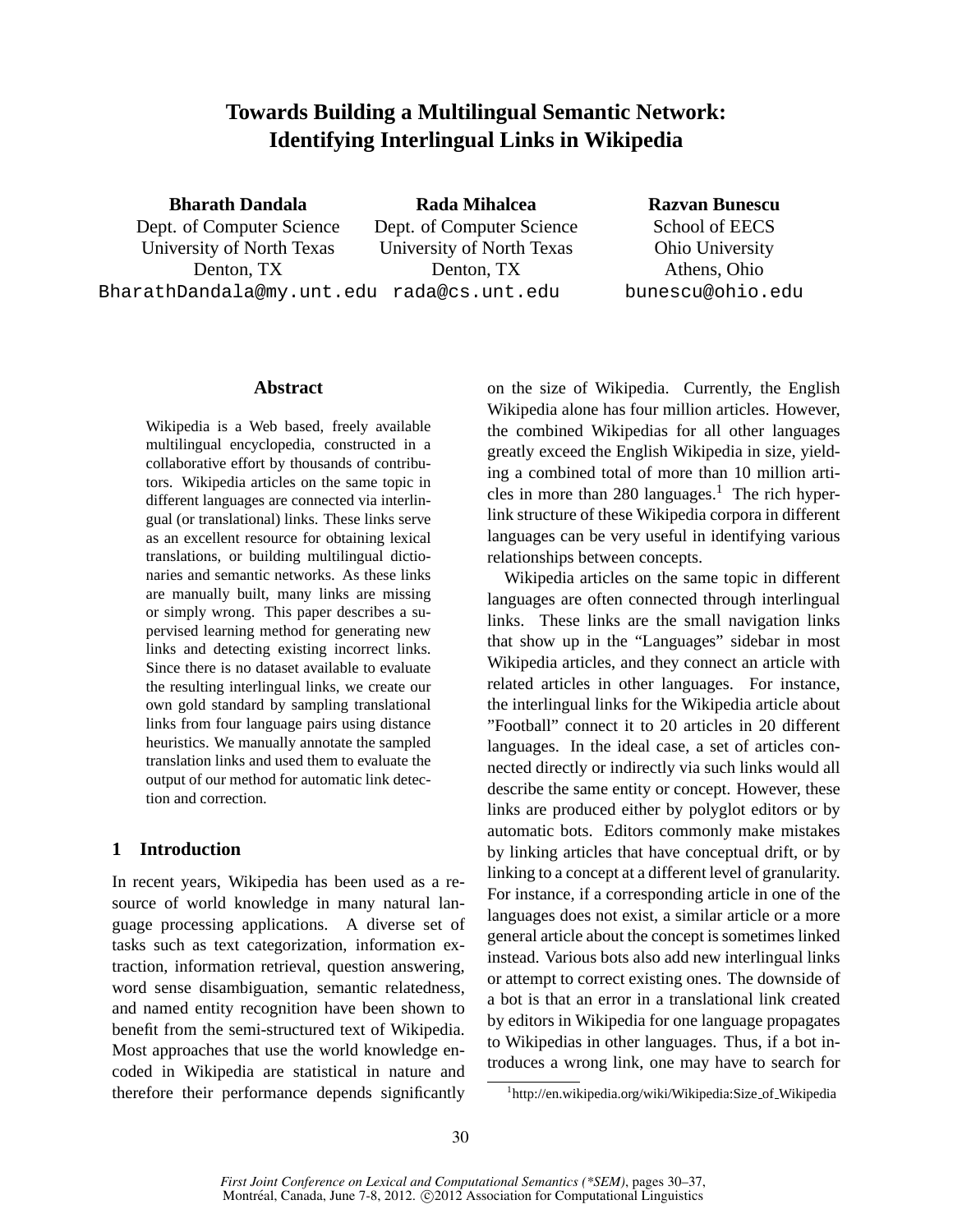# **Towards Building a Multilingual Semantic Network: Identifying Interlingual Links in Wikipedia**

**Bharath Dandala**

Dept. of Computer Science University of North Texas Denton, TX BharathDandala@my.unt.edu rada@cs.unt.edu

**Rada Mihalcea** Dept. of Computer Science University of North Texas Denton, TX

**Razvan Bunescu**

School of EECS Ohio University Athens, Ohio bunescu@ohio.edu

### **Abstract**

Wikipedia is a Web based, freely available multilingual encyclopedia, constructed in a collaborative effort by thousands of contributors. Wikipedia articles on the same topic in different languages are connected via interlingual (or translational) links. These links serve as an excellent resource for obtaining lexical translations, or building multilingual dictionaries and semantic networks. As these links are manually built, many links are missing or simply wrong. This paper describes a supervised learning method for generating new links and detecting existing incorrect links. Since there is no dataset available to evaluate the resulting interlingual links, we create our own gold standard by sampling translational links from four language pairs using distance heuristics. We manually annotate the sampled translation links and used them to evaluate the output of our method for automatic link detection and correction.

# **1 Introduction**

In recent years, Wikipedia has been used as a resource of world knowledge in many natural language processing applications. A diverse set of tasks such as text categorization, information extraction, information retrieval, question answering, word sense disambiguation, semantic relatedness, and named entity recognition have been shown to benefit from the semi-structured text of Wikipedia. Most approaches that use the world knowledge encoded in Wikipedia are statistical in nature and therefore their performance depends significantly on the size of Wikipedia. Currently, the English Wikipedia alone has four million articles. However, the combined Wikipedias for all other languages greatly exceed the English Wikipedia in size, yielding a combined total of more than 10 million articles in more than 280 languages.<sup>1</sup> The rich hyperlink structure of these Wikipedia corpora in different languages can be very useful in identifying various relationships between concepts.

Wikipedia articles on the same topic in different languages are often connected through interlingual links. These links are the small navigation links that show up in the "Languages" sidebar in most Wikipedia articles, and they connect an article with related articles in other languages. For instance, the interlingual links for the Wikipedia article about "Football" connect it to 20 articles in 20 different languages. In the ideal case, a set of articles connected directly or indirectly via such links would all describe the same entity or concept. However, these links are produced either by polyglot editors or by automatic bots. Editors commonly make mistakes by linking articles that have conceptual drift, or by linking to a concept at a different level of granularity. For instance, if a corresponding article in one of the languages does not exist, a similar article or a more general article about the concept is sometimes linked instead. Various bots also add new interlingual links or attempt to correct existing ones. The downside of a bot is that an error in a translational link created by editors in Wikipedia for one language propagates to Wikipedias in other languages. Thus, if a bot introduces a wrong link, one may have to search for

<sup>1</sup> http://en.wikipedia.org/wiki/Wikipedia:Size of Wikipedia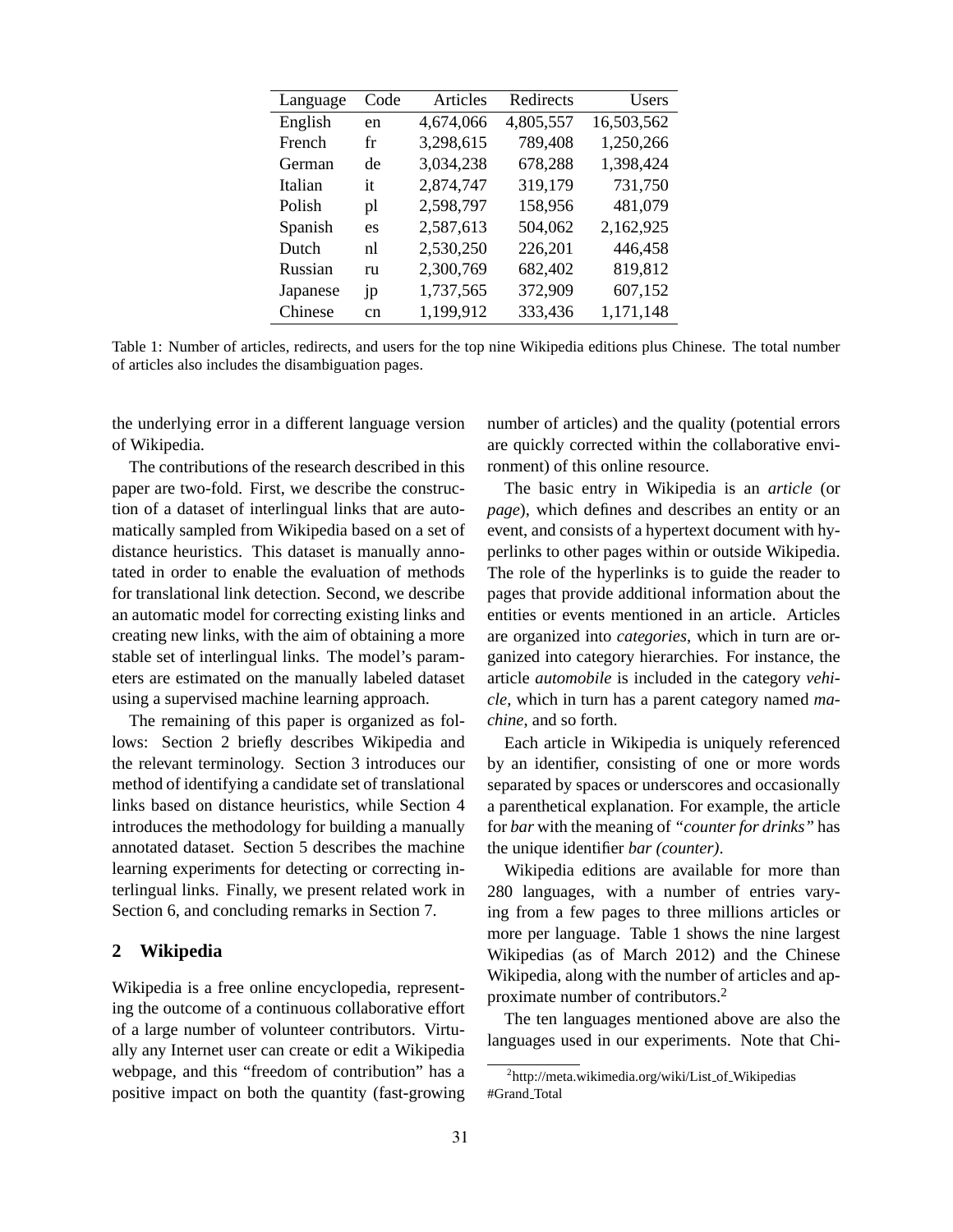| Language | Code           | Articles  | Redirects | Users      |
|----------|----------------|-----------|-----------|------------|
| English  | en             | 4,674,066 | 4,805,557 | 16,503,562 |
| French   | fr             | 3,298,615 | 789,408   | 1,250,266  |
| German   | de             | 3,034,238 | 678,288   | 1,398,424  |
| Italian  | it             | 2,874,747 | 319,179   | 731,750    |
| Polish   | pl             | 2,598,797 | 158,956   | 481,079    |
| Spanish  | es             | 2,587,613 | 504,062   | 2,162,925  |
| Dutch    | n1             | 2,530,250 | 226,201   | 446,458    |
| Russian  | ru             | 2,300,769 | 682,402   | 819,812    |
| Japanese | 1 <sub>p</sub> | 1,737,565 | 372,909   | 607,152    |
| Chinese  | cn             | 1,199,912 | 333,436   | 1,171,148  |

Table 1: Number of articles, redirects, and users for the top nine Wikipedia editions plus Chinese. The total number of articles also includes the disambiguation pages.

the underlying error in a different language version of Wikipedia.

The contributions of the research described in this paper are two-fold. First, we describe the construction of a dataset of interlingual links that are automatically sampled from Wikipedia based on a set of distance heuristics. This dataset is manually annotated in order to enable the evaluation of methods for translational link detection. Second, we describe an automatic model for correcting existing links and creating new links, with the aim of obtaining a more stable set of interlingual links. The model's parameters are estimated on the manually labeled dataset using a supervised machine learning approach.

The remaining of this paper is organized as follows: Section 2 briefly describes Wikipedia and the relevant terminology. Section 3 introduces our method of identifying a candidate set of translational links based on distance heuristics, while Section 4 introduces the methodology for building a manually annotated dataset. Section 5 describes the machine learning experiments for detecting or correcting interlingual links. Finally, we present related work in Section 6, and concluding remarks in Section 7.

#### **2 Wikipedia**

Wikipedia is a free online encyclopedia, representing the outcome of a continuous collaborative effort of a large number of volunteer contributors. Virtually any Internet user can create or edit a Wikipedia webpage, and this "freedom of contribution" has a positive impact on both the quantity (fast-growing

number of articles) and the quality (potential errors are quickly corrected within the collaborative environment) of this online resource.

The basic entry in Wikipedia is an *article* (or *page*), which defines and describes an entity or an event, and consists of a hypertext document with hyperlinks to other pages within or outside Wikipedia. The role of the hyperlinks is to guide the reader to pages that provide additional information about the entities or events mentioned in an article. Articles are organized into *categories*, which in turn are organized into category hierarchies. For instance, the article *automobile* is included in the category *vehicle*, which in turn has a parent category named *machine*, and so forth.

Each article in Wikipedia is uniquely referenced by an identifier, consisting of one or more words separated by spaces or underscores and occasionally a parenthetical explanation. For example, the article for *bar* with the meaning of *"counter for drinks"* has the unique identifier *bar (counter)*.

Wikipedia editions are available for more than 280 languages, with a number of entries varying from a few pages to three millions articles or more per language. Table 1 shows the nine largest Wikipedias (as of March 2012) and the Chinese Wikipedia, along with the number of articles and approximate number of contributors.<sup>2</sup>

The ten languages mentioned above are also the languages used in our experiments. Note that Chi-

<sup>&</sup>lt;sup>2</sup>http://meta.wikimedia.org/wiki/List\_of\_Wikipedias #Grand Total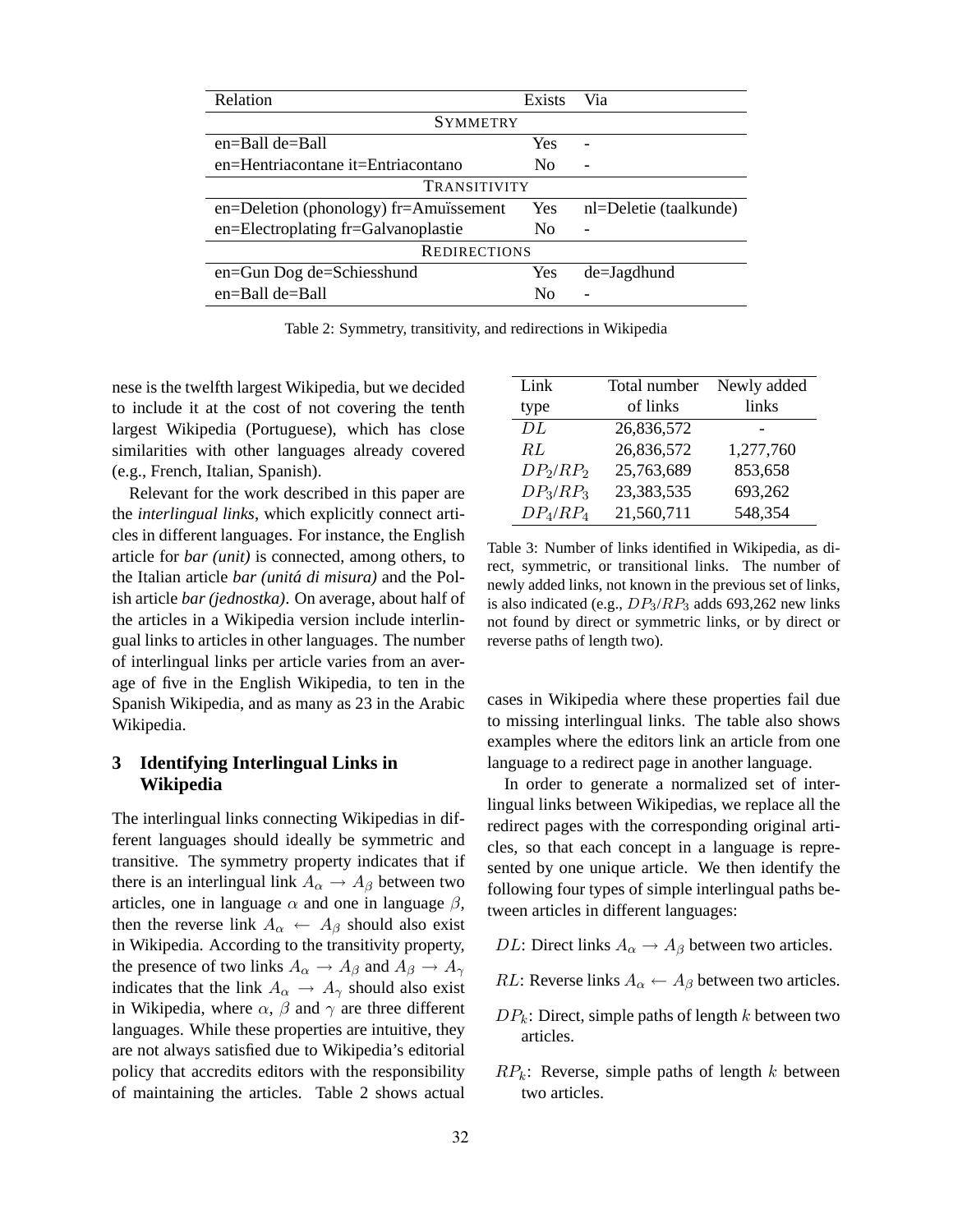| Relation                                     | Exists         | Via                      |  |  |  |  |  |  |
|----------------------------------------------|----------------|--------------------------|--|--|--|--|--|--|
| <b>SYMMETRY</b>                              |                |                          |  |  |  |  |  |  |
| en=Ball de=Ball                              | Yes            | $\overline{\phantom{0}}$ |  |  |  |  |  |  |
| en=Hentriacontane it=Entriacontano           | N <sub>0</sub> |                          |  |  |  |  |  |  |
| TRANSITIVITY                                 |                |                          |  |  |  |  |  |  |
| $en = Deletion (phonology) fr = Amuïssement$ | Yes            | nl=Deletie (taalkunde)   |  |  |  |  |  |  |
| en=Electroplating fr=Galvanoplastie          | N <sub>0</sub> |                          |  |  |  |  |  |  |
| <b>REDIRECTIONS</b>                          |                |                          |  |  |  |  |  |  |
| en=Gun Dog de=Schiesshund                    | Yes            | de=Jagdhund              |  |  |  |  |  |  |
| $en =$ Ball de $=$ Ball                      | No             |                          |  |  |  |  |  |  |

Table 2: Symmetry, transitivity, and redirections in Wikipedia

nese is the twelfth largest Wikipedia, but we decided to include it at the cost of not covering the tenth largest Wikipedia (Portuguese), which has close similarities with other languages already covered (e.g., French, Italian, Spanish).

Relevant for the work described in this paper are the *interlingual links*, which explicitly connect articles in different languages. For instance, the English article for *bar (unit)* is connected, among others, to the Italian article *bar (unita di misura) ´* and the Polish article *bar (jednostka)*. On average, about half of the articles in a Wikipedia version include interlingual links to articles in other languages. The number of interlingual links per article varies from an average of five in the English Wikipedia, to ten in the Spanish Wikipedia, and as many as 23 in the Arabic Wikipedia.

# **3 Identifying Interlingual Links in Wikipedia**

The interlingual links connecting Wikipedias in different languages should ideally be symmetric and transitive. The symmetry property indicates that if there is an interlingual link  $A_{\alpha} \rightarrow A_{\beta}$  between two articles, one in language  $\alpha$  and one in language  $\beta$ , then the reverse link  $A_{\alpha} \leftarrow A_{\beta}$  should also exist in Wikipedia. According to the transitivity property, the presence of two links  $A_{\alpha} \rightarrow A_{\beta}$  and  $A_{\beta} \rightarrow A_{\gamma}$ indicates that the link  $A_{\alpha} \rightarrow A_{\gamma}$  should also exist in Wikipedia, where  $\alpha$ ,  $\beta$  and  $\gamma$  are three different languages. While these properties are intuitive, they are not always satisfied due to Wikipedia's editorial policy that accredits editors with the responsibility of maintaining the articles. Table 2 shows actual

| Link                             | Total number | Newly added |
|----------------------------------|--------------|-------------|
| type                             | of links     | links       |
| DL                               | 26,836,572   |             |
| RL                               | 26,836,572   | 1,277,760   |
| DP <sub>2</sub> /RP <sub>2</sub> | 25,763,689   | 853,658     |
| $DP_3/RP_3$                      | 23,383,535   | 693,262     |
| $DP_4$ / $RP_4$                  | 21,560,711   | 548,354     |

Table 3: Number of links identified in Wikipedia, as direct, symmetric, or transitional links. The number of newly added links, not known in the previous set of links, is also indicated (e.g.,  $DP_3/RP_3$  adds 693,262 new links not found by direct or symmetric links, or by direct or reverse paths of length two).

cases in Wikipedia where these properties fail due to missing interlingual links. The table also shows examples where the editors link an article from one language to a redirect page in another language.

In order to generate a normalized set of interlingual links between Wikipedias, we replace all the redirect pages with the corresponding original articles, so that each concept in a language is represented by one unique article. We then identify the following four types of simple interlingual paths between articles in different languages:

- DL: Direct links  $A_{\alpha} \rightarrow A_{\beta}$  between two articles.
- RL: Reverse links  $A_{\alpha} \leftarrow A_{\beta}$  between two articles.
- $DP_k$ : Direct, simple paths of length k between two articles.
- $RP_k$ : Reverse, simple paths of length k between two articles.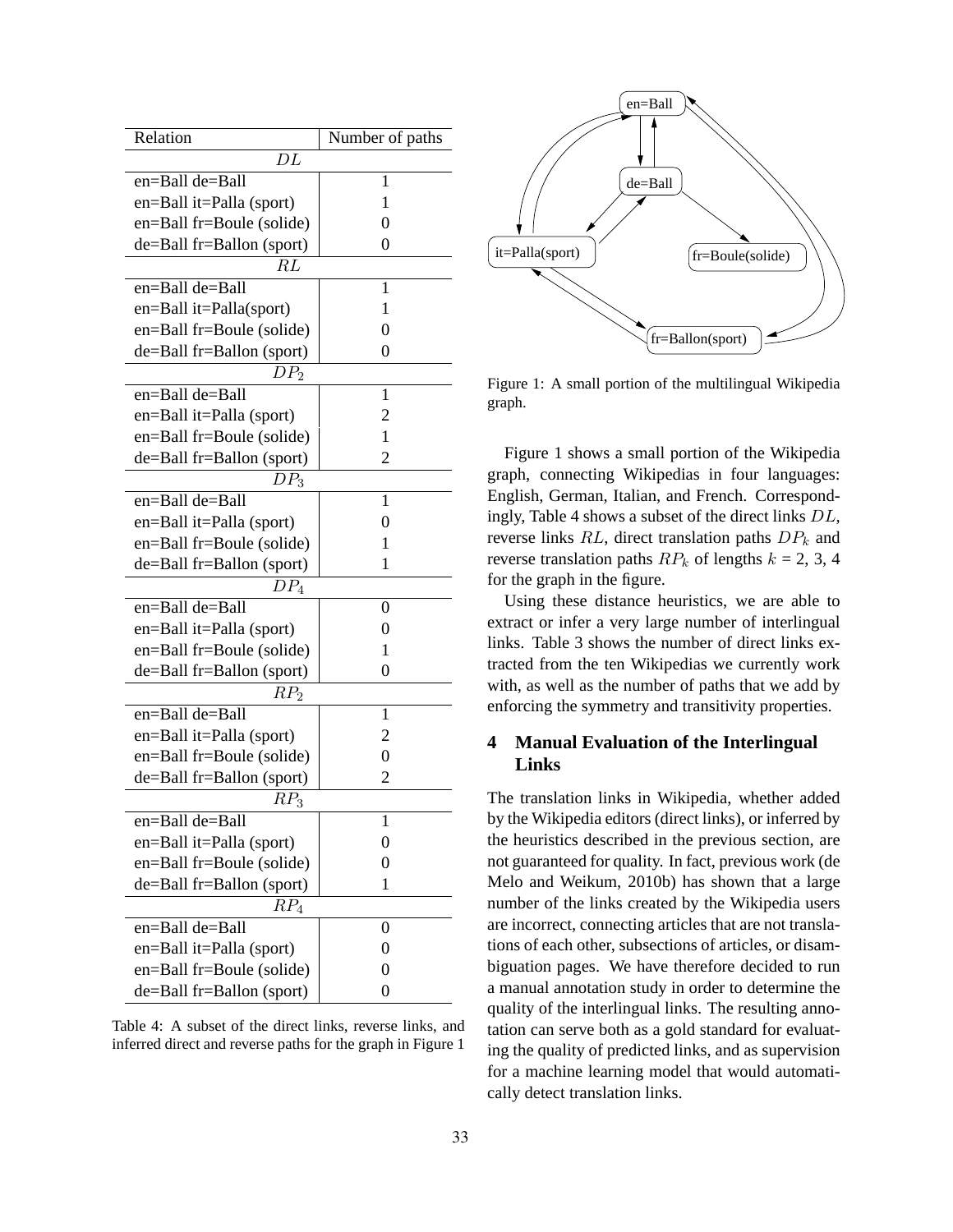| Relation                  | Number of paths |  |  |  |  |  |  |
|---------------------------|-----------------|--|--|--|--|--|--|
| DL                        |                 |  |  |  |  |  |  |
| en=Ball de=Ball           | 1               |  |  |  |  |  |  |
| en=Ball it=Palla (sport)  | 1               |  |  |  |  |  |  |
| en=Ball fr=Boule (solide) | 0               |  |  |  |  |  |  |
| de=Ball fr=Ballon (sport) | $\theta$        |  |  |  |  |  |  |
| RL                        |                 |  |  |  |  |  |  |
| en=Ball de=Ball           | 1               |  |  |  |  |  |  |
| en=Ball it=Palla(sport)   | 1               |  |  |  |  |  |  |
| en=Ball fr=Boule (solide) | 0               |  |  |  |  |  |  |
| de=Ball fr=Ballon (sport) | 0               |  |  |  |  |  |  |
| DP <sub>2</sub>           |                 |  |  |  |  |  |  |
| $e$ n=Ball de=Ball        | 1               |  |  |  |  |  |  |
| en=Ball it=Palla (sport)  | 2               |  |  |  |  |  |  |
| en=Ball fr=Boule (solide) | 1               |  |  |  |  |  |  |
| de=Ball fr=Ballon (sport) | 2               |  |  |  |  |  |  |
| $DP_3$                    |                 |  |  |  |  |  |  |
| en=Ball de=Ball           | 1               |  |  |  |  |  |  |
| en=Ball it=Palla (sport)  | 0               |  |  |  |  |  |  |
| en=Ball fr=Boule (solide) | 1               |  |  |  |  |  |  |
| de=Ball fr=Ballon (sport) | 1               |  |  |  |  |  |  |
| $DP_4$                    |                 |  |  |  |  |  |  |
| en=Ball de=Ball           | 0               |  |  |  |  |  |  |
| en=Ball it=Palla (sport)  | 0               |  |  |  |  |  |  |
| en=Ball fr=Boule (solide) | 1               |  |  |  |  |  |  |
| de=Ball fr=Ballon (sport) | 0               |  |  |  |  |  |  |
| RP <sub>2</sub>           |                 |  |  |  |  |  |  |
| en=Ball de=Ball           | 1               |  |  |  |  |  |  |
| en=Ball it=Palla (sport)  | 2               |  |  |  |  |  |  |
| en=Ball fr=Boule (solide) | 0               |  |  |  |  |  |  |
| de=Ball fr=Ballon (sport) | $\overline{2}$  |  |  |  |  |  |  |
| $RP_3$                    |                 |  |  |  |  |  |  |
| en=Ball de=Ball           | 1               |  |  |  |  |  |  |
| en=Ball it=Palla (sport)  | 0               |  |  |  |  |  |  |
| en=Ball fr=Boule (solide) | 0               |  |  |  |  |  |  |
| de=Ball fr=Ballon (sport) | 1               |  |  |  |  |  |  |
| RP <sub>4</sub>           |                 |  |  |  |  |  |  |
| $en =$ Ball de=Ball       | 0               |  |  |  |  |  |  |
| en=Ball it=Palla (sport)  | 0               |  |  |  |  |  |  |
| en=Ball fr=Boule (solide) | 0               |  |  |  |  |  |  |
| de=Ball fr=Ballon (sport) | 0               |  |  |  |  |  |  |

Table 4: A subset of the direct links, reverse links, and inferred direct and reverse paths for the graph in Figure 1



Figure 1: A small portion of the multilingual Wikipedia graph.

Figure 1 shows a small portion of the Wikipedia graph, connecting Wikipedias in four languages: English, German, Italian, and French. Correspondingly, Table 4 shows a subset of the direct links DL, reverse links  $RL$ , direct translation paths  $DP_k$  and reverse translation paths  $RP_k$  of lengths  $k = 2, 3, 4$ for the graph in the figure.

Using these distance heuristics, we are able to extract or infer a very large number of interlingual links. Table 3 shows the number of direct links extracted from the ten Wikipedias we currently work with, as well as the number of paths that we add by enforcing the symmetry and transitivity properties.

# **4 Manual Evaluation of the Interlingual Links**

The translation links in Wikipedia, whether added by the Wikipedia editors (direct links), or inferred by the heuristics described in the previous section, are not guaranteed for quality. In fact, previous work (de Melo and Weikum, 2010b) has shown that a large number of the links created by the Wikipedia users are incorrect, connecting articles that are not translations of each other, subsections of articles, or disambiguation pages. We have therefore decided to run a manual annotation study in order to determine the quality of the interlingual links. The resulting annotation can serve both as a gold standard for evaluating the quality of predicted links, and as supervision for a machine learning model that would automatically detect translation links.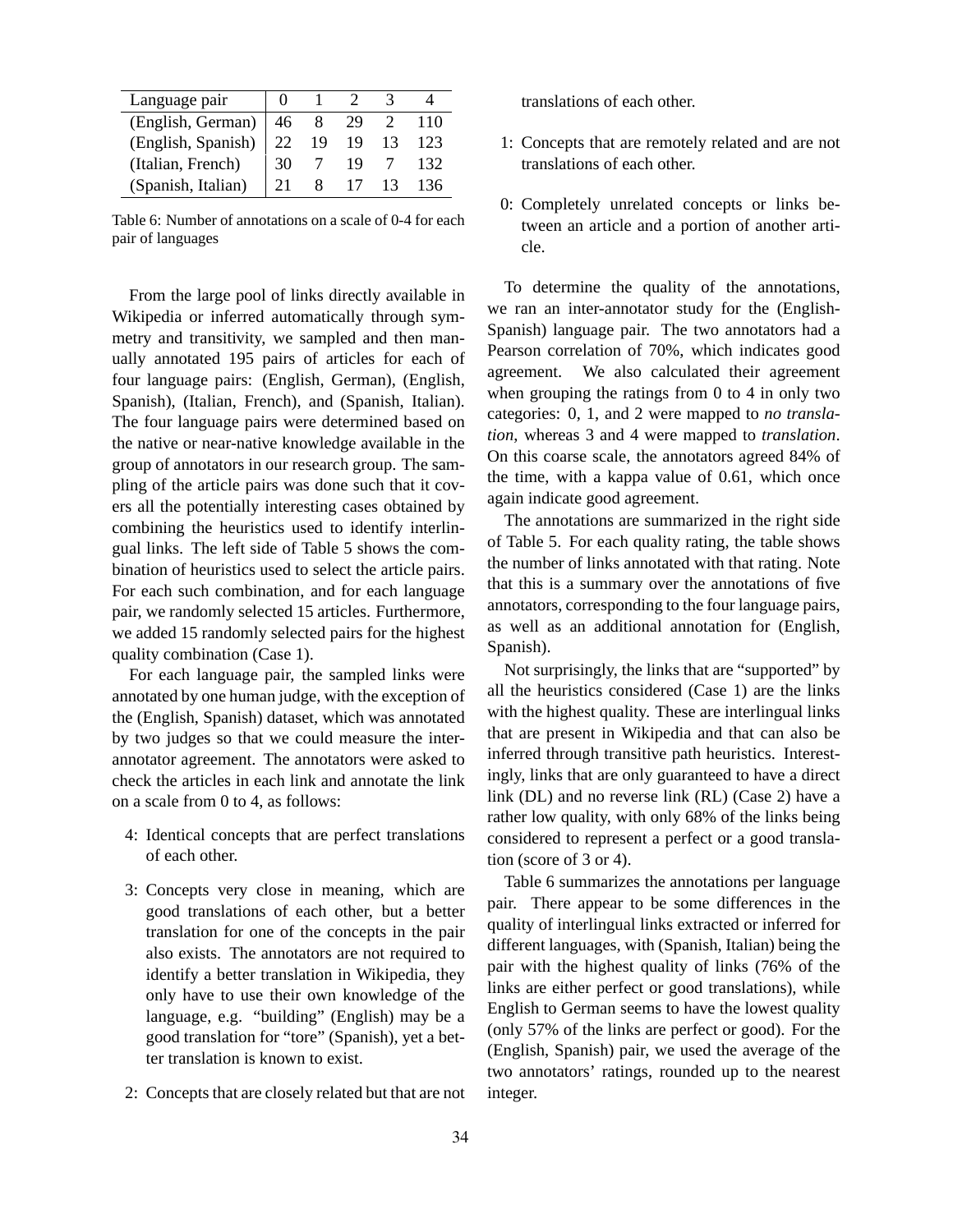| Language pair          |    |    |    |      |
|------------------------|----|----|----|------|
| (English, German)   46 |    |    | 29 | 110  |
| (English, Spanish)     | 22 | 19 | 19 | 123  |
| (Italian, French)      | 30 |    | 19 | 132. |
| (Spanish, Italian)     | 21 |    |    | 136  |

Table 6: Number of annotations on a scale of 0-4 for each pair of languages

From the large pool of links directly available in Wikipedia or inferred automatically through symmetry and transitivity, we sampled and then manually annotated 195 pairs of articles for each of four language pairs: (English, German), (English, Spanish), (Italian, French), and (Spanish, Italian). The four language pairs were determined based on the native or near-native knowledge available in the group of annotators in our research group. The sampling of the article pairs was done such that it covers all the potentially interesting cases obtained by combining the heuristics used to identify interlingual links. The left side of Table 5 shows the combination of heuristics used to select the article pairs. For each such combination, and for each language pair, we randomly selected 15 articles. Furthermore, we added 15 randomly selected pairs for the highest quality combination (Case 1).

For each language pair, the sampled links were annotated by one human judge, with the exception of the (English, Spanish) dataset, which was annotated by two judges so that we could measure the interannotator agreement. The annotators were asked to check the articles in each link and annotate the link on a scale from 0 to 4, as follows:

- 4: Identical concepts that are perfect translations of each other.
- 3: Concepts very close in meaning, which are good translations of each other, but a better translation for one of the concepts in the pair also exists. The annotators are not required to identify a better translation in Wikipedia, they only have to use their own knowledge of the language, e.g. "building" (English) may be a good translation for "tore" (Spanish), yet a better translation is known to exist.
- 2: Concepts that are closely related but that are not

translations of each other.

- 1: Concepts that are remotely related and are not translations of each other.
- 0: Completely unrelated concepts or links between an article and a portion of another article.

To determine the quality of the annotations, we ran an inter-annotator study for the (English-Spanish) language pair. The two annotators had a Pearson correlation of 70%, which indicates good agreement. We also calculated their agreement when grouping the ratings from 0 to 4 in only two categories: 0, 1, and 2 were mapped to *no translation*, whereas 3 and 4 were mapped to *translation*. On this coarse scale, the annotators agreed 84% of the time, with a kappa value of 0.61, which once again indicate good agreement.

The annotations are summarized in the right side of Table 5. For each quality rating, the table shows the number of links annotated with that rating. Note that this is a summary over the annotations of five annotators, corresponding to the four language pairs, as well as an additional annotation for (English, Spanish).

Not surprisingly, the links that are "supported" by all the heuristics considered (Case 1) are the links with the highest quality. These are interlingual links that are present in Wikipedia and that can also be inferred through transitive path heuristics. Interestingly, links that are only guaranteed to have a direct link (DL) and no reverse link (RL) (Case 2) have a rather low quality, with only 68% of the links being considered to represent a perfect or a good translation (score of 3 or 4).

Table 6 summarizes the annotations per language pair. There appear to be some differences in the quality of interlingual links extracted or inferred for different languages, with (Spanish, Italian) being the pair with the highest quality of links (76% of the links are either perfect or good translations), while English to German seems to have the lowest quality (only 57% of the links are perfect or good). For the (English, Spanish) pair, we used the average of the two annotators' ratings, rounded up to the nearest integer.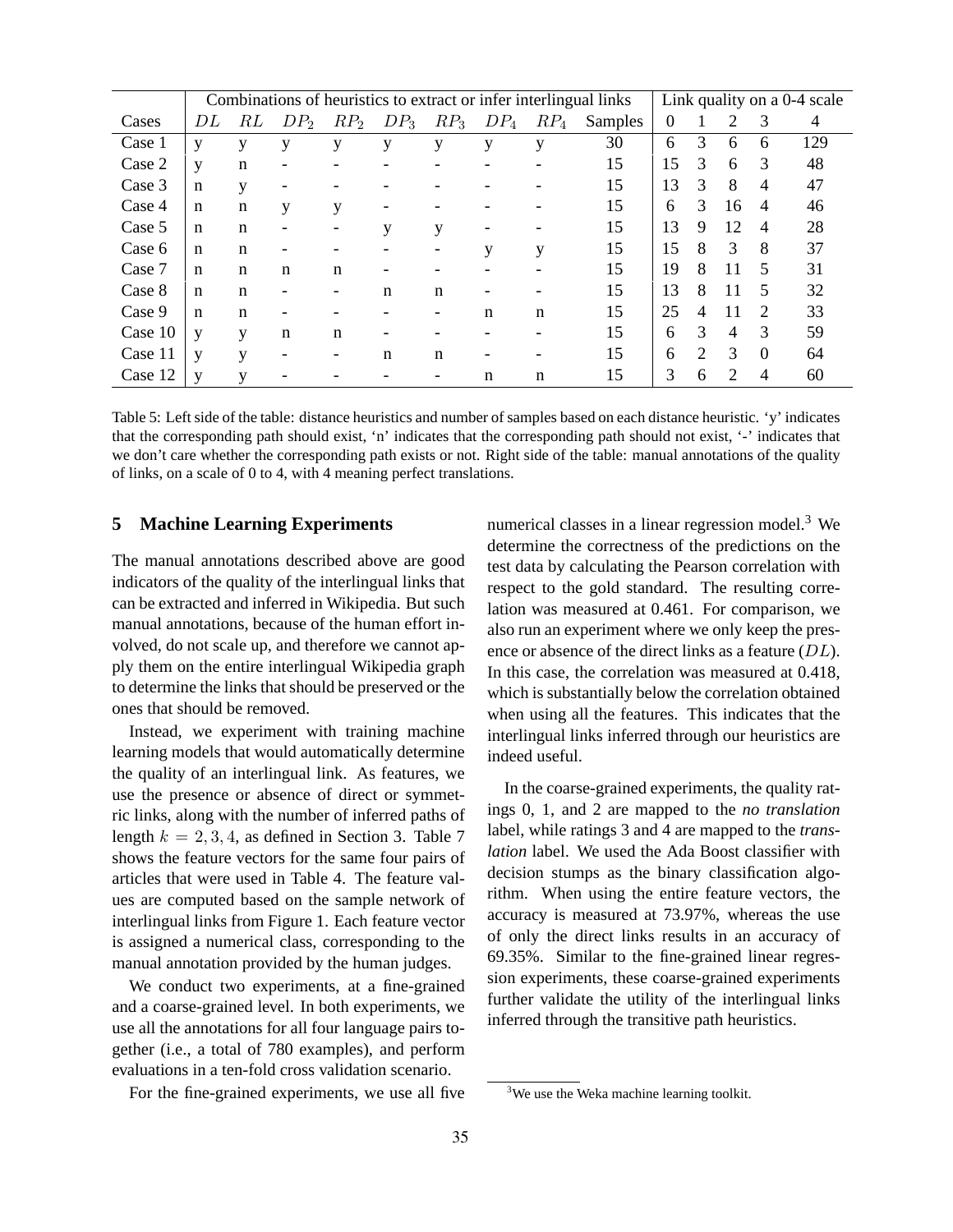|         | Combinations of heuristics to extract or infer interlingual links |             |                              |                 |                 |                          |                 | Link quality on a 0-4 scale |         |          |                             |                |                |     |
|---------|-------------------------------------------------------------------|-------------|------------------------------|-----------------|-----------------|--------------------------|-----------------|-----------------------------|---------|----------|-----------------------------|----------------|----------------|-----|
| Cases   | DL                                                                | RL          | DP <sub>2</sub>              | RP <sub>2</sub> | DP <sub>3</sub> | RP <sub>3</sub>          | DP <sub>4</sub> | $RP_4$                      | Samples | $\Omega$ |                             | 2              | 3              | 4   |
| Case 1  | y                                                                 | y           | y                            | y               | y               | y                        | у               | y                           | 30      | 6        | 3                           | 6              | 6              | 129 |
| Case 2  | y                                                                 | $\mathbf n$ | $\qquad \qquad \blacksquare$ |                 |                 |                          |                 |                             | 15      | 15       | 3                           | 6              | 3              | 48  |
| Case 3  | n                                                                 | y           |                              |                 |                 |                          |                 |                             | 15      | 13       | 3                           | 8              | $\overline{4}$ | 47  |
| Case 4  | n                                                                 | n           | y                            | у               |                 |                          |                 |                             | 15      | 6        | 3                           | 16             | 4              | 46  |
| Case 5  | n                                                                 | $\mathbf n$ |                              |                 | y               | y                        |                 |                             | 15      | 13       | 9                           | 12             | $\overline{4}$ | 28  |
| Case 6  | n                                                                 | $\mathbf n$ |                              |                 |                 |                          | y               | y                           | 15      | 15       | 8                           | 3              | 8              | 37  |
| Case 7  | n                                                                 | $\mathbf n$ | $\mathbf n$                  | $\mathbf n$     |                 |                          |                 |                             | 15      | 19       | 8                           | 11             | 5              | 31  |
| Case 8  | n                                                                 | $\mathbf n$ |                              |                 | n               | $\mathbf n$              |                 |                             | 15      | 13       | 8                           | 11             | 5              | 32  |
| Case 9  | n                                                                 | n           |                              |                 |                 | $\overline{\phantom{a}}$ | $\mathbf n$     | $\mathbf n$                 | 15      | 25       | 4                           | 11             | 2              | 33  |
| Case 10 | V                                                                 | V           | $\mathbf n$                  | $\mathbf n$     |                 |                          |                 |                             | 15      | 6        | 3                           | $\overline{4}$ | 3              | 59  |
| Case 11 | V                                                                 | V           |                              |                 | n               | n                        |                 |                             | 15      | 6        | $\mathcal{D}_{\mathcal{L}}$ | 3              | $\overline{0}$ | 64  |
| Case 12 | v                                                                 | v           |                              |                 |                 |                          | n               | n                           | 15      | 3        | 6                           | $\mathfrak{D}$ | 4              | 60  |

Table 5: Left side of the table: distance heuristics and number of samples based on each distance heuristic. 'y' indicates that the corresponding path should exist, 'n' indicates that the corresponding path should not exist, '-' indicates that we don't care whether the corresponding path exists or not. Right side of the table: manual annotations of the quality of links, on a scale of 0 to 4, with 4 meaning perfect translations.

#### **5 Machine Learning Experiments**

The manual annotations described above are good indicators of the quality of the interlingual links that can be extracted and inferred in Wikipedia. But such manual annotations, because of the human effort involved, do not scale up, and therefore we cannot apply them on the entire interlingual Wikipedia graph to determine the links that should be preserved or the ones that should be removed.

Instead, we experiment with training machine learning models that would automatically determine the quality of an interlingual link. As features, we use the presence or absence of direct or symmetric links, along with the number of inferred paths of length  $k = 2, 3, 4$ , as defined in Section 3. Table 7 shows the feature vectors for the same four pairs of articles that were used in Table 4. The feature values are computed based on the sample network of interlingual links from Figure 1. Each feature vector is assigned a numerical class, corresponding to the manual annotation provided by the human judges.

We conduct two experiments, at a fine-grained and a coarse-grained level. In both experiments, we use all the annotations for all four language pairs together (i.e., a total of 780 examples), and perform evaluations in a ten-fold cross validation scenario.

For the fine-grained experiments, we use all five

numerical classes in a linear regression model. $3$  We determine the correctness of the predictions on the test data by calculating the Pearson correlation with respect to the gold standard. The resulting correlation was measured at 0.461. For comparison, we also run an experiment where we only keep the presence or absence of the direct links as a feature (DL). In this case, the correlation was measured at 0.418, which is substantially below the correlation obtained when using all the features. This indicates that the interlingual links inferred through our heuristics are indeed useful.

In the coarse-grained experiments, the quality ratings 0, 1, and 2 are mapped to the *no translation* label, while ratings 3 and 4 are mapped to the *translation* label. We used the Ada Boost classifier with decision stumps as the binary classification algorithm. When using the entire feature vectors, the accuracy is measured at 73.97%, whereas the use of only the direct links results in an accuracy of 69.35%. Similar to the fine-grained linear regression experiments, these coarse-grained experiments further validate the utility of the interlingual links inferred through the transitive path heuristics.

<sup>&</sup>lt;sup>3</sup>We use the Weka machine learning toolkit.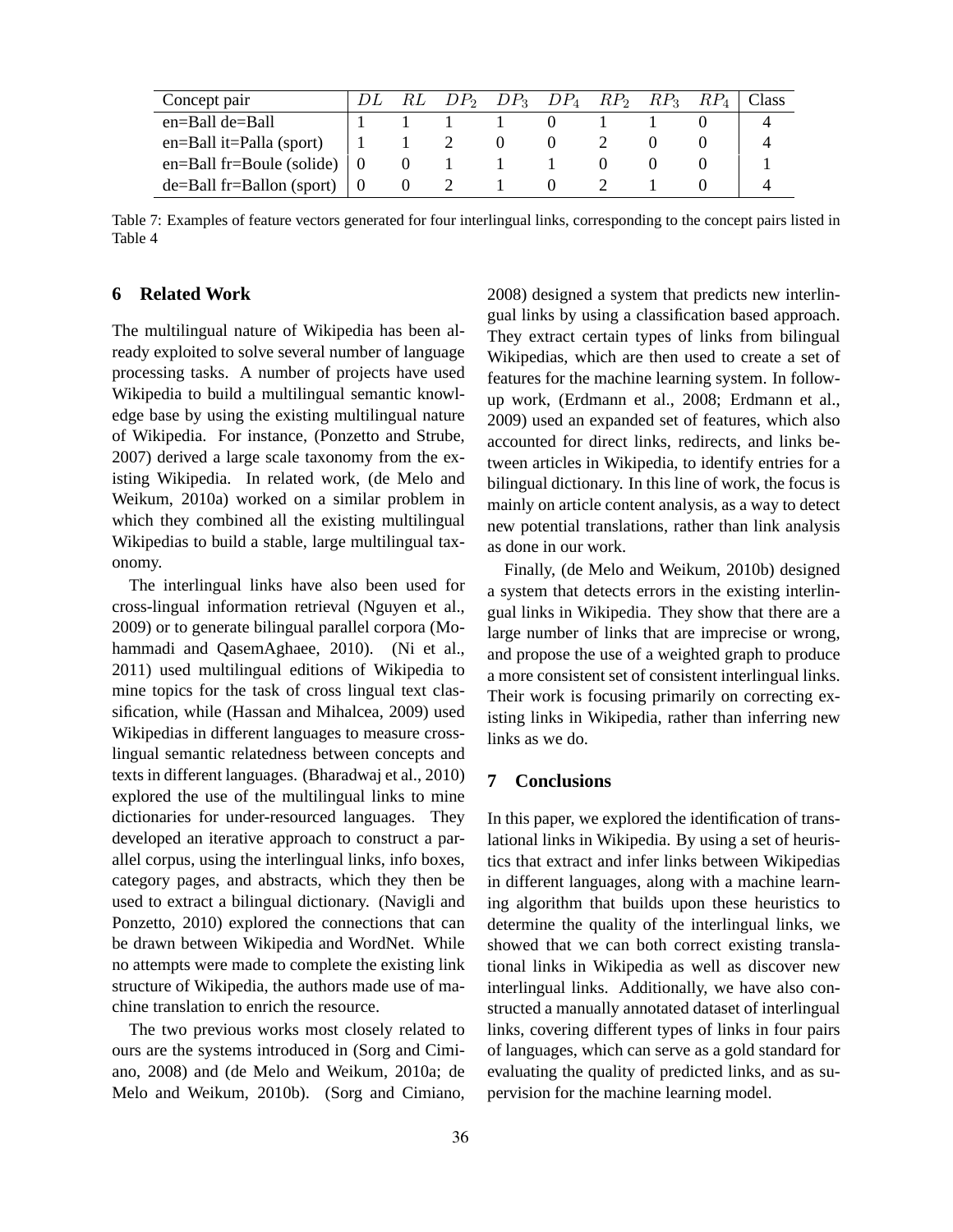| Concept pair                    |  |  | $DP_2$ $DP_3$ $DP_4$ $RP_2$ $RP_3$ $RP_4$ |  | Class |
|---------------------------------|--|--|-------------------------------------------|--|-------|
| en=Ball de=Ball                 |  |  |                                           |  |       |
| $en = Ball$ it=Palla (sport)    |  |  |                                           |  |       |
| $en = Ball fr = Boule$ (solide) |  |  |                                           |  |       |
| $de = Ball fr = Ballon (sport)$ |  |  |                                           |  |       |

Table 7: Examples of feature vectors generated for four interlingual links, corresponding to the concept pairs listed in Table 4

# **6 Related Work**

The multilingual nature of Wikipedia has been already exploited to solve several number of language processing tasks. A number of projects have used Wikipedia to build a multilingual semantic knowledge base by using the existing multilingual nature of Wikipedia. For instance, (Ponzetto and Strube, 2007) derived a large scale taxonomy from the existing Wikipedia. In related work, (de Melo and Weikum, 2010a) worked on a similar problem in which they combined all the existing multilingual Wikipedias to build a stable, large multilingual taxonomy.

The interlingual links have also been used for cross-lingual information retrieval (Nguyen et al., 2009) or to generate bilingual parallel corpora (Mohammadi and QasemAghaee, 2010). (Ni et al., 2011) used multilingual editions of Wikipedia to mine topics for the task of cross lingual text classification, while (Hassan and Mihalcea, 2009) used Wikipedias in different languages to measure crosslingual semantic relatedness between concepts and texts in different languages. (Bharadwaj et al., 2010) explored the use of the multilingual links to mine dictionaries for under-resourced languages. They developed an iterative approach to construct a parallel corpus, using the interlingual links, info boxes, category pages, and abstracts, which they then be used to extract a bilingual dictionary. (Navigli and Ponzetto, 2010) explored the connections that can be drawn between Wikipedia and WordNet. While no attempts were made to complete the existing link structure of Wikipedia, the authors made use of machine translation to enrich the resource.

The two previous works most closely related to ours are the systems introduced in (Sorg and Cimiano, 2008) and (de Melo and Weikum, 2010a; de Melo and Weikum, 2010b). (Sorg and Cimiano, 2008) designed a system that predicts new interlingual links by using a classification based approach. They extract certain types of links from bilingual Wikipedias, which are then used to create a set of features for the machine learning system. In followup work, (Erdmann et al., 2008; Erdmann et al., 2009) used an expanded set of features, which also accounted for direct links, redirects, and links between articles in Wikipedia, to identify entries for a bilingual dictionary. In this line of work, the focus is mainly on article content analysis, as a way to detect new potential translations, rather than link analysis as done in our work.

Finally, (de Melo and Weikum, 2010b) designed a system that detects errors in the existing interlingual links in Wikipedia. They show that there are a large number of links that are imprecise or wrong, and propose the use of a weighted graph to produce a more consistent set of consistent interlingual links. Their work is focusing primarily on correcting existing links in Wikipedia, rather than inferring new links as we do.

#### **7 Conclusions**

In this paper, we explored the identification of translational links in Wikipedia. By using a set of heuristics that extract and infer links between Wikipedias in different languages, along with a machine learning algorithm that builds upon these heuristics to determine the quality of the interlingual links, we showed that we can both correct existing translational links in Wikipedia as well as discover new interlingual links. Additionally, we have also constructed a manually annotated dataset of interlingual links, covering different types of links in four pairs of languages, which can serve as a gold standard for evaluating the quality of predicted links, and as supervision for the machine learning model.